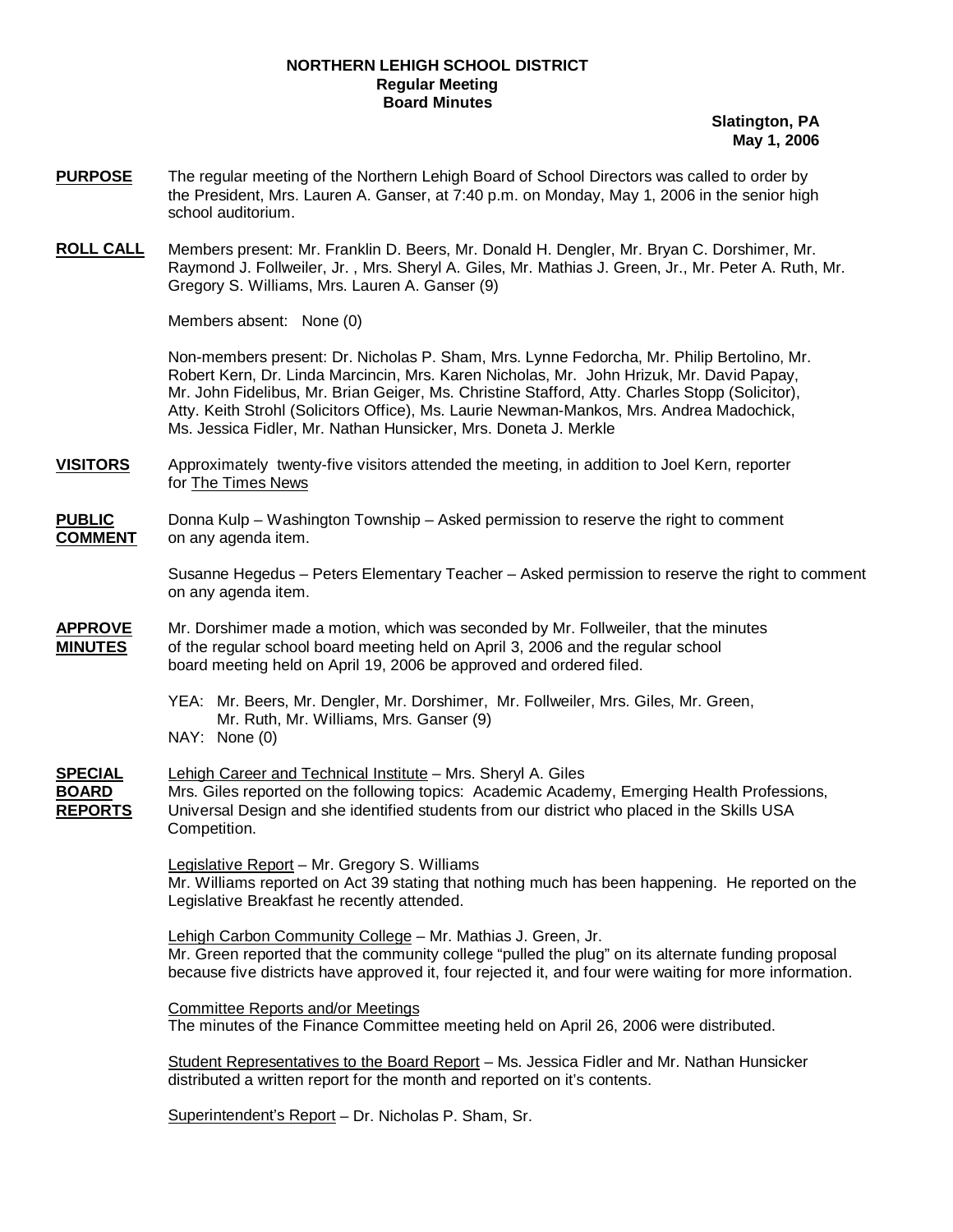### **NORTHERN LEHIGH SCHOOL DISTRICT Regular Meeting Board Minutes**

**Slatington, PA May 1, 2006**

- **PURPOSE** The regular meeting of the Northern Lehigh Board of School Directors was called to order by the President, Mrs. Lauren A. Ganser, at 7:40 p.m. on Monday, May 1, 2006 in the senior high school auditorium.
- **ROLL CALL** Members present: Mr. Franklin D. Beers, Mr. Donald H. Dengler, Mr. Bryan C. Dorshimer, Mr. Raymond J. Follweiler, Jr. , Mrs. Sheryl A. Giles, Mr. Mathias J. Green, Jr., Mr. Peter A. Ruth, Mr. Gregory S. Williams, Mrs. Lauren A. Ganser (9)

Members absent: None (0)

Non-members present: Dr. Nicholas P. Sham, Mrs. Lynne Fedorcha, Mr. Philip Bertolino, Mr. Robert Kern, Dr. Linda Marcincin, Mrs. Karen Nicholas, Mr. John Hrizuk, Mr. David Papay, Mr. John Fidelibus, Mr. Brian Geiger, Ms. Christine Stafford, Atty. Charles Stopp (Solicitor), Atty. Keith Strohl (Solicitors Office), Ms. Laurie Newman-Mankos, Mrs. Andrea Madochick, Ms. Jessica Fidler, Mr. Nathan Hunsicker, Mrs. Doneta J. Merkle

**VISITORS** Approximately twenty-five visitors attended the meeting, in addition to Joel Kern, reporter for The Times News

#### **PUBLIC** Donna Kulp – Washington Township – Asked permission to reserve the right to comment **COMMENT** on any agenda item.

 Susanne Hegedus – Peters Elementary Teacher – Asked permission to reserve the right to comment on any agenda item.

- **APPROVE** Mr. Dorshimer made a motion, which was seconded by Mr. Follweiler, that the minutes **MINUTES** of the regular school board meeting held on April 3, 2006 and the regular school board meeting held on April 19, 2006 be approved and ordered filed.
	- YEA: Mr. Beers, Mr. Dengler, Mr. Dorshimer, Mr. Follweiler, Mrs. Giles, Mr. Green, Mr. Ruth, Mr. Williams, Mrs. Ganser (9) NAY: None (0)
- **SPECIAL** Lehigh Career and Technical Institute Mrs. Sheryl A. Giles **BOARD** Mrs. Giles reported on the following topics: Academic Academy, Emerging Health Professions, **REPORTS** Universal Design and she identified students from our district who placed in the Skills USA Competition.

 Legislative Report – Mr. Gregory S. Williams Mr. Williams reported on Act 39 stating that nothing much has been happening. He reported on the Legislative Breakfast he recently attended.

 Lehigh Carbon Community College – Mr. Mathias J. Green, Jr. Mr. Green reported that the community college "pulled the plug" on its alternate funding proposal because five districts have approved it, four rejected it, and four were waiting for more information.

 Committee Reports and/or Meetings The minutes of the Finance Committee meeting held on April 26, 2006 were distributed.

Student Representatives to the Board Report - Ms. Jessica Fidler and Mr. Nathan Hunsicker distributed a written report for the month and reported on it's contents.

Superintendent's Report – Dr. Nicholas P. Sham, Sr.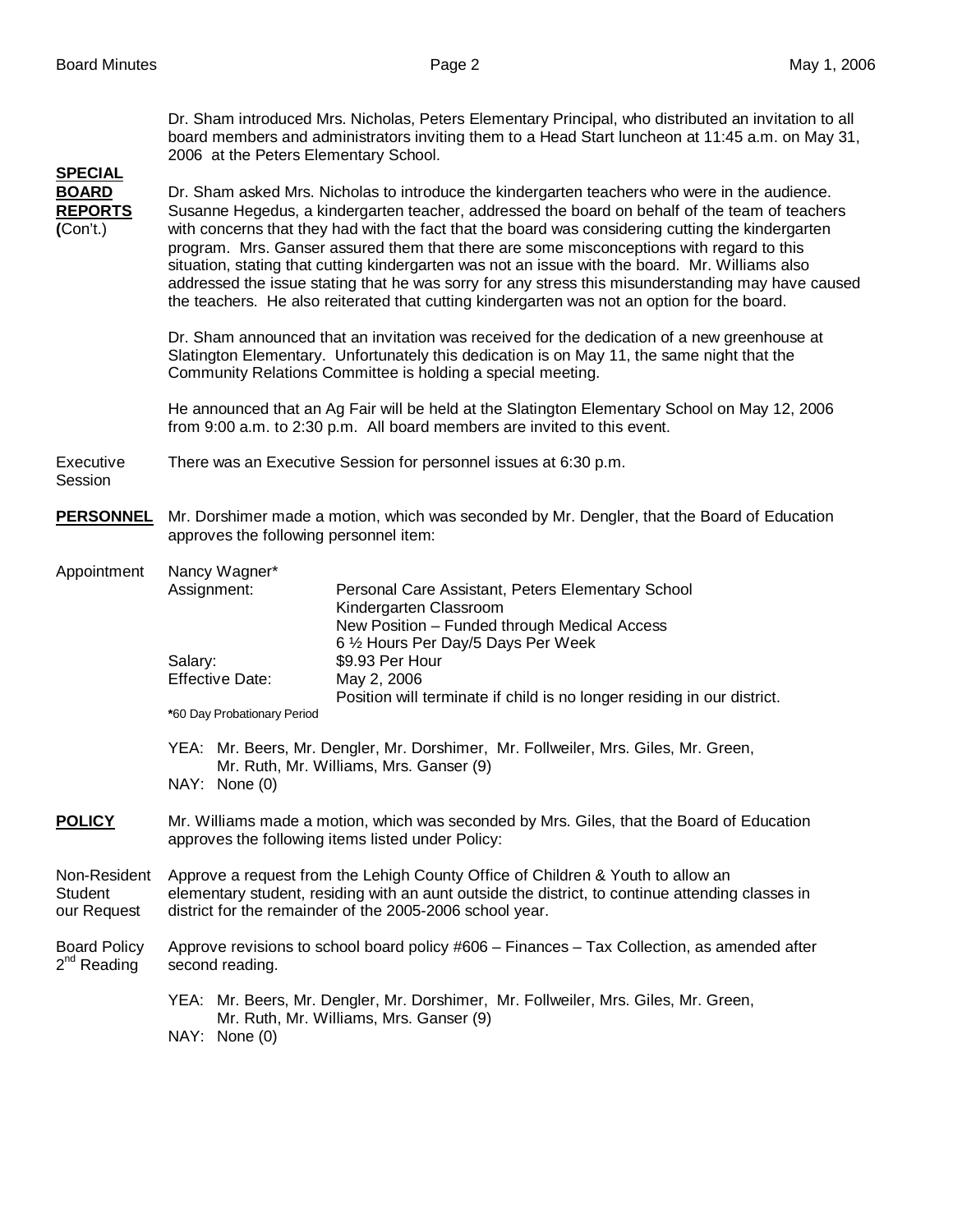Dr. Sham introduced Mrs. Nicholas, Peters Elementary Principal, who distributed an invitation to all board members and administrators inviting them to a Head Start luncheon at 11:45 a.m. on May 31, 2006 at the Peters Elementary School. **SPECIAL BOARD** Dr. Sham asked Mrs. Nicholas to introduce the kindergarten teachers who were in the audience. **REPORTS** Susanne Hegedus, a kindergarten teacher, addressed the board on behalf of the team of teachers **(**Con't.) with concerns that they had with the fact that the board was considering cutting the kindergarten program. Mrs. Ganser assured them that there are some misconceptions with regard to this situation, stating that cutting kindergarten was not an issue with the board. Mr. Williams also addressed the issue stating that he was sorry for any stress this misunderstanding may have caused the teachers. He also reiterated that cutting kindergarten was not an option for the board. Dr. Sham announced that an invitation was received for the dedication of a new greenhouse at Slatington Elementary. Unfortunately this dedication is on May 11, the same night that the Community Relations Committee is holding a special meeting. He announced that an Ag Fair will be held at the Slatington Elementary School on May 12, 2006 from 9:00 a.m. to 2:30 p.m. All board members are invited to this event. Executive There was an Executive Session for personnel issues at 6:30 p.m. Session **PERSONNEL** Mr. Dorshimer made a motion, which was seconded by Mr. Dengler, that the Board of Education approves the following personnel item: Appointment Nancy Wagner\* Assignment: Personal Care Assistant, Peters Elementary School Kindergarten Classroom New Position – Funded through Medical Access 6 ½ Hours Per Day/5 Days Per Week Salary: \$9.93 Per Hour<br>Effective Date: May 2, 2006 Effective Date: Position will terminate if child is no longer residing in our district. **\***60 Day Probationary Period YEA: Mr. Beers, Mr. Dengler, Mr. Dorshimer, Mr. Follweiler, Mrs. Giles, Mr. Green, Mr. Ruth, Mr. Williams, Mrs. Ganser (9) NAY: None (0) **POLICY** Mr. Williams made a motion, which was seconded by Mrs. Giles, that the Board of Education approves the following items listed under Policy: Non-Resident Approve a request from the Lehigh County Office of Children & Youth to allow an Student elementary student, residing with an aunt outside the district, to continue attending classes in our Request district for the remainder of the 2005-2006 school year. Board Policy Approve revisions to school board policy #606 – Finances – Tax Collection, as amended after  $2<sup>nd</sup>$  Reading second reading. YEA: Mr. Beers, Mr. Dengler, Mr. Dorshimer, Mr. Follweiler, Mrs. Giles, Mr. Green, Mr. Ruth, Mr. Williams, Mrs. Ganser (9)

NAY: None (0)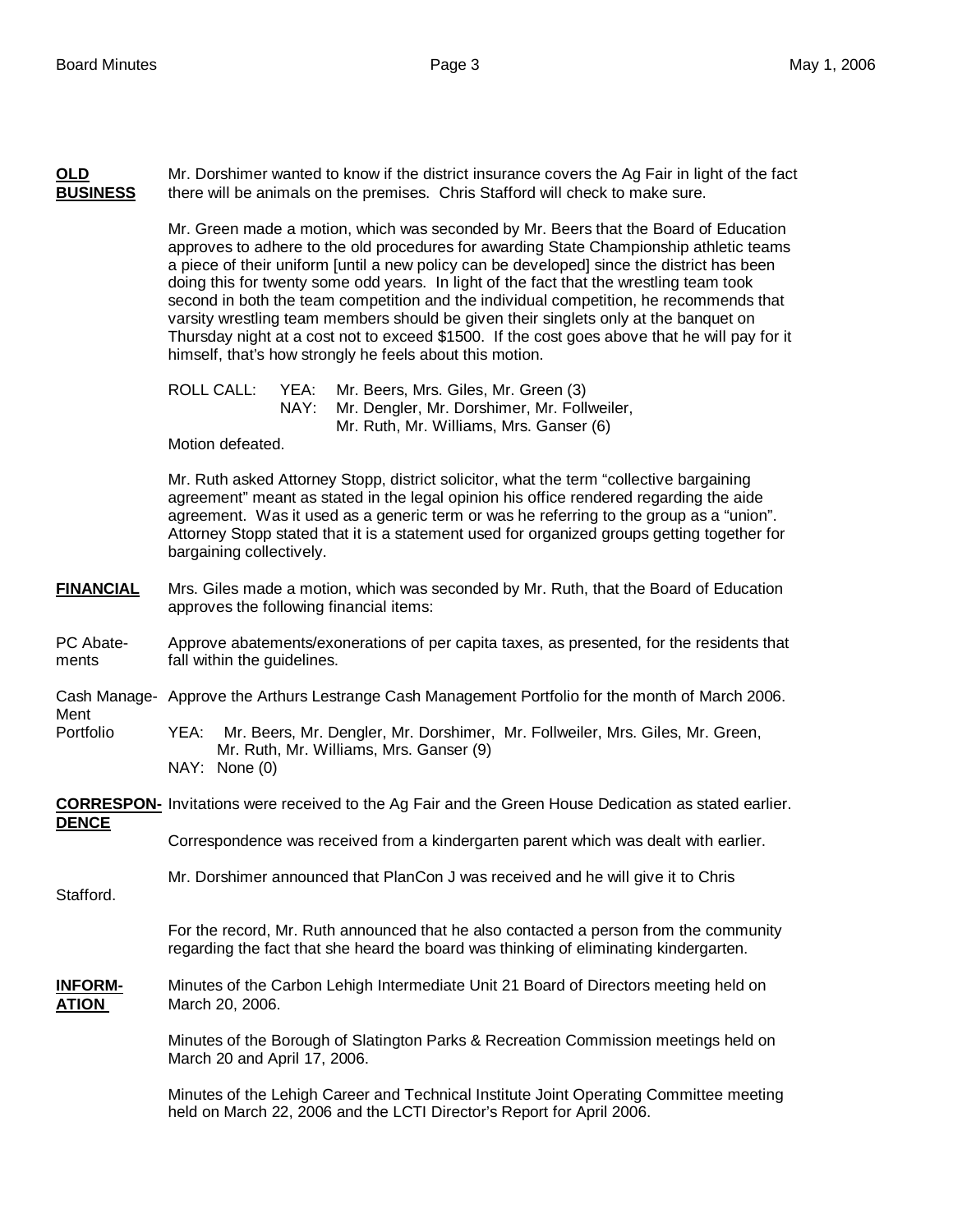**OLD** Mr. Dorshimer wanted to know if the district insurance covers the Ag Fair in light of the fact **BUSINESS** there will be animals on the premises. Chris Stafford will check to make sure.

> Mr. Green made a motion, which was seconded by Mr. Beers that the Board of Education approves to adhere to the old procedures for awarding State Championship athletic teams a piece of their uniform [until a new policy can be developed] since the district has been doing this for twenty some odd years. In light of the fact that the wrestling team took second in both the team competition and the individual competition, he recommends that varsity wrestling team members should be given their singlets only at the banquet on Thursday night at a cost not to exceed \$1500. If the cost goes above that he will pay for it himself, that's how strongly he feels about this motion.

ROLL CALL: YEA: Mr. Beers, Mrs. Giles, Mr. Green (3) NAY: Mr. Dengler, Mr. Dorshimer, Mr. Follweiler, Mr. Ruth, Mr. Williams, Mrs. Ganser (6)

Motion defeated.

Mr. Ruth asked Attorney Stopp, district solicitor, what the term "collective bargaining agreement" meant as stated in the legal opinion his office rendered regarding the aide agreement. Was it used as a generic term or was he referring to the group as a "union". Attorney Stopp stated that it is a statement used for organized groups getting together for bargaining collectively.

#### **FINANCIAL** Mrs. Giles made a motion, which was seconded by Mr. Ruth, that the Board of Education approves the following financial items:

PC Abate- Approve abatements/exonerations of per capita taxes, as presented, for the residents that ments fall within the guidelines.

Cash Manage- Approve the Arthurs Lestrange Cash Management Portfolio for the month of March 2006.

Ment

Portfolio YEA: Mr. Beers, Mr. Dengler, Mr. Dorshimer, Mr. Follweiler, Mrs. Giles, Mr. Green, Mr. Ruth, Mr. Williams, Mrs. Ganser (9) NAY: None (0)

**CORRESPON-** Invitations were received to the Ag Fair and the Green House Dedication as stated earlier. **DENCE**

Correspondence was received from a kindergarten parent which was dealt with earlier.

Mr. Dorshimer announced that PlanCon J was received and he will give it to Chris

Stafford.

For the record, Mr. Ruth announced that he also contacted a person from the community regarding the fact that she heard the board was thinking of eliminating kindergarten.

**INFORM-** Minutes of the Carbon Lehigh Intermediate Unit 21 Board of Directors meeting held on **ATION** March 20, 2006.

> Minutes of the Borough of Slatington Parks & Recreation Commission meetings held on March 20 and April 17, 2006.

Minutes of the Lehigh Career and Technical Institute Joint Operating Committee meeting held on March 22, 2006 and the LCTI Director's Report for April 2006.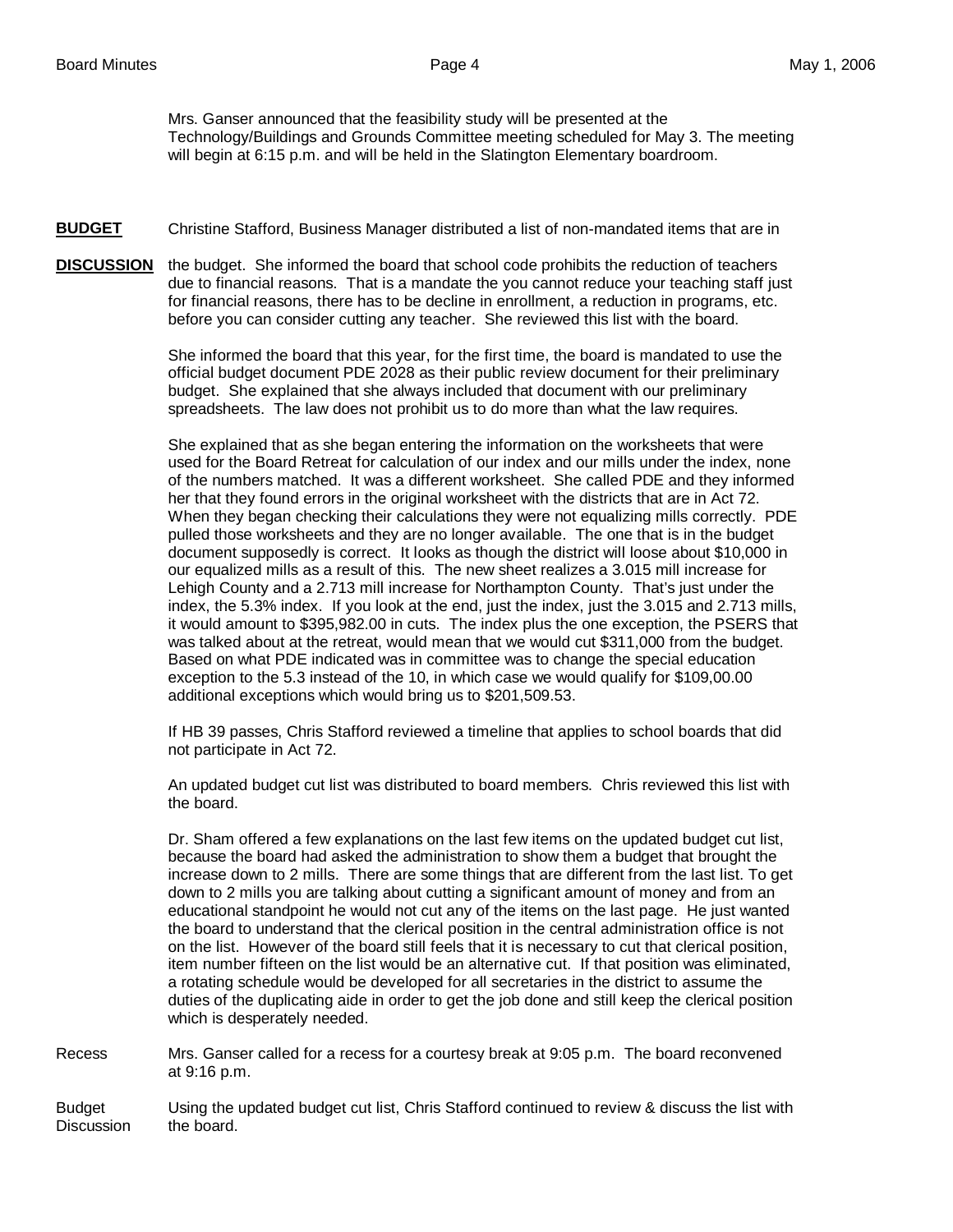Mrs. Ganser announced that the feasibility study will be presented at the Technology/Buildings and Grounds Committee meeting scheduled for May 3. The meeting will begin at 6:15 p.m. and will be held in the Slatington Elementary boardroom.

- **BUDGET** Christine Stafford, Business Manager distributed a list of non-mandated items that are in
- **DISCUSSION** the budget. She informed the board that school code prohibits the reduction of teachers due to financial reasons. That is a mandate the you cannot reduce your teaching staff just for financial reasons, there has to be decline in enrollment, a reduction in programs, etc. before you can consider cutting any teacher. She reviewed this list with the board.

 She informed the board that this year, for the first time, the board is mandated to use the official budget document PDE 2028 as their public review document for their preliminary budget. She explained that she always included that document with our preliminary spreadsheets. The law does not prohibit us to do more than what the law requires.

 She explained that as she began entering the information on the worksheets that were used for the Board Retreat for calculation of our index and our mills under the index, none of the numbers matched. It was a different worksheet. She called PDE and they informed her that they found errors in the original worksheet with the districts that are in Act 72. When they began checking their calculations they were not equalizing mills correctly. PDE pulled those worksheets and they are no longer available. The one that is in the budget document supposedly is correct. It looks as though the district will loose about \$10,000 in our equalized mills as a result of this. The new sheet realizes a 3.015 mill increase for Lehigh County and a 2.713 mill increase for Northampton County. That's just under the index, the 5.3% index. If you look at the end, just the index, just the 3.015 and 2.713 mills, it would amount to \$395,982.00 in cuts. The index plus the one exception, the PSERS that was talked about at the retreat, would mean that we would cut \$311,000 from the budget. Based on what PDE indicated was in committee was to change the special education exception to the 5.3 instead of the 10, in which case we would qualify for \$109,00.00 additional exceptions which would bring us to \$201,509.53.

 If HB 39 passes, Chris Stafford reviewed a timeline that applies to school boards that did not participate in Act 72.

 An updated budget cut list was distributed to board members. Chris reviewed this list with the board.

 Dr. Sham offered a few explanations on the last few items on the updated budget cut list, because the board had asked the administration to show them a budget that brought the increase down to 2 mills. There are some things that are different from the last list. To get down to 2 mills you are talking about cutting a significant amount of money and from an educational standpoint he would not cut any of the items on the last page. He just wanted the board to understand that the clerical position in the central administration office is not on the list. However of the board still feels that it is necessary to cut that clerical position, item number fifteen on the list would be an alternative cut. If that position was eliminated, a rotating schedule would be developed for all secretaries in the district to assume the duties of the duplicating aide in order to get the job done and still keep the clerical position which is desperately needed.

Recess Mrs. Ganser called for a recess for a courtesy break at 9:05 p.m. The board reconvened at 9:16 p.m.

Budget Using the updated budget cut list, Chris Stafford continued to review & discuss the list with Discussion the board.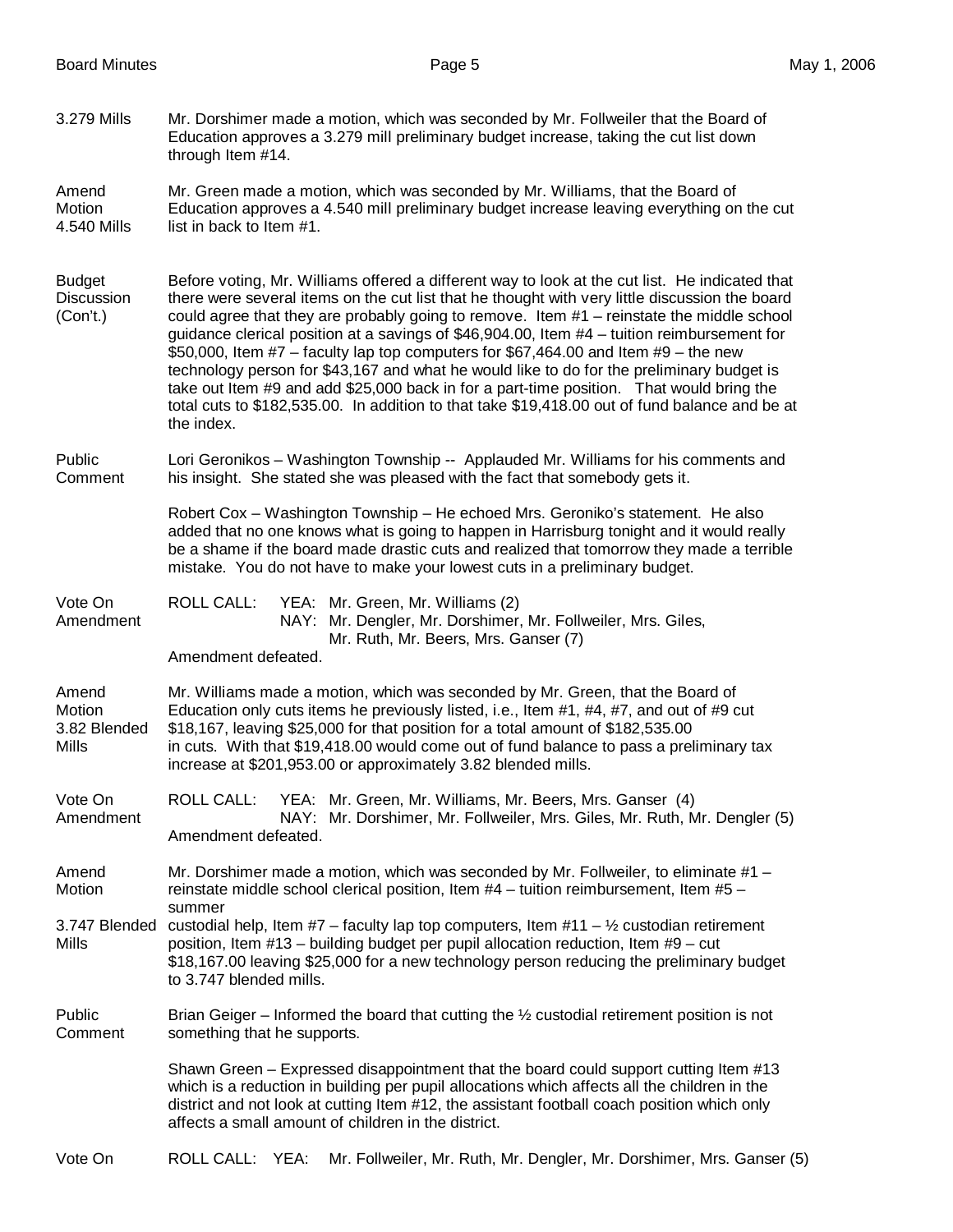3.279 Mills Mr. Dorshimer made a motion, which was seconded by Mr. Follweiler that the Board of Education approves a 3.279 mill preliminary budget increase, taking the cut list down through Item #14.

Amend Mr. Green made a motion, which was seconded by Mr. Williams, that the Board of Motion Education approves a 4.540 mill preliminary budget increase leaving everything on the cut 4.540 Mills list in back to Item #1.

Budget Before voting, Mr. Williams offered a different way to look at the cut list. He indicated that Discussion there were several items on the cut list that he thought with very little discussion the board (Con't.) could agree that they are probably going to remove. Item #1 – reinstate the middle school guidance clerical position at a savings of \$46,904.00, Item #4 – tuition reimbursement for \$50,000, Item  $#7$  – faculty lap top computers for \$67,464.00 and Item  $#9$  – the new technology person for \$43,167 and what he would like to do for the preliminary budget is take out Item #9 and add \$25,000 back in for a part-time position. That would bring the total cuts to \$182,535.00. In addition to that take \$19,418.00 out of fund balance and be at the index.

Public Lori Geronikos – Washington Township -- Applauded Mr. Williams for his comments and Comment his insight. She stated she was pleased with the fact that somebody gets it.

> Robert Cox – Washington Township – He echoed Mrs. Geroniko's statement. He also added that no one knows what is going to happen in Harrisburg tonight and it would really be a shame if the board made drastic cuts and realized that tomorrow they made a terrible mistake. You do not have to make your lowest cuts in a preliminary budget.

Vote On ROLL CALL: YEA: Mr. Green, Mr. Williams (2) Amendment NAY: Mr. Dengler, Mr. Dorshimer, Mr. Follweiler, Mrs. Giles, Mr. Ruth, Mr. Beers, Mrs. Ganser (7)

Amendment defeated.

Amend Mr. Williams made a motion, which was seconded by Mr. Green, that the Board of Motion **Education only cuts items he previously listed, i.e., Item #1, #4, #7, and out of #9 cut** 3.82 Blended \$18,167, leaving \$25,000 for that position for a total amount of \$182,535.00 Mills in cuts. With that \$19,418.00 would come out of fund balance to pass a preliminary tax increase at \$201,953.00 or approximately 3.82 blended mills.

Vote On ROLL CALL: YEA: Mr. Green, Mr. Williams, Mr. Beers, Mrs. Ganser (4) Amendment NAY: Mr. Dorshimer, Mr. Follweiler, Mrs. Giles, Mr. Ruth, Mr. Dengler (5) Amendment defeated.

Amend Mr. Dorshimer made a motion, which was seconded by Mr. Follweiler, to eliminate #1 – Motion reinstate middle school clerical position, Item  $#4$  – tuition reimbursement, Item  $#5$  – summer

3.747 Blended custodial help, Item  $#7$  – faculty lap top computers, Item  $#11 - \frac{1}{2}$  custodian retirement Mills position Item  $#13 -$  building budget per pupil allocation reduction. Item  $#9 -$  cut position, Item  $#13$  – building budget per pupil allocation reduction, Item  $#9$  – cut \$18,167.00 leaving \$25,000 for a new technology person reducing the preliminary budget to 3.747 blended mills.

Public Brian Geiger – Informed the board that cutting the  $\frac{1}{2}$  custodial retirement position is not Comment something that he supports. something that he supports.

> Shawn Green – Expressed disappointment that the board could support cutting Item #13 which is a reduction in building per pupil allocations which affects all the children in the district and not look at cutting Item #12, the assistant football coach position which only affects a small amount of children in the district.

## Vote On ROLL CALL: YEA: Mr. Follweiler, Mr. Ruth, Mr. Dengler, Mr. Dorshimer, Mrs. Ganser (5)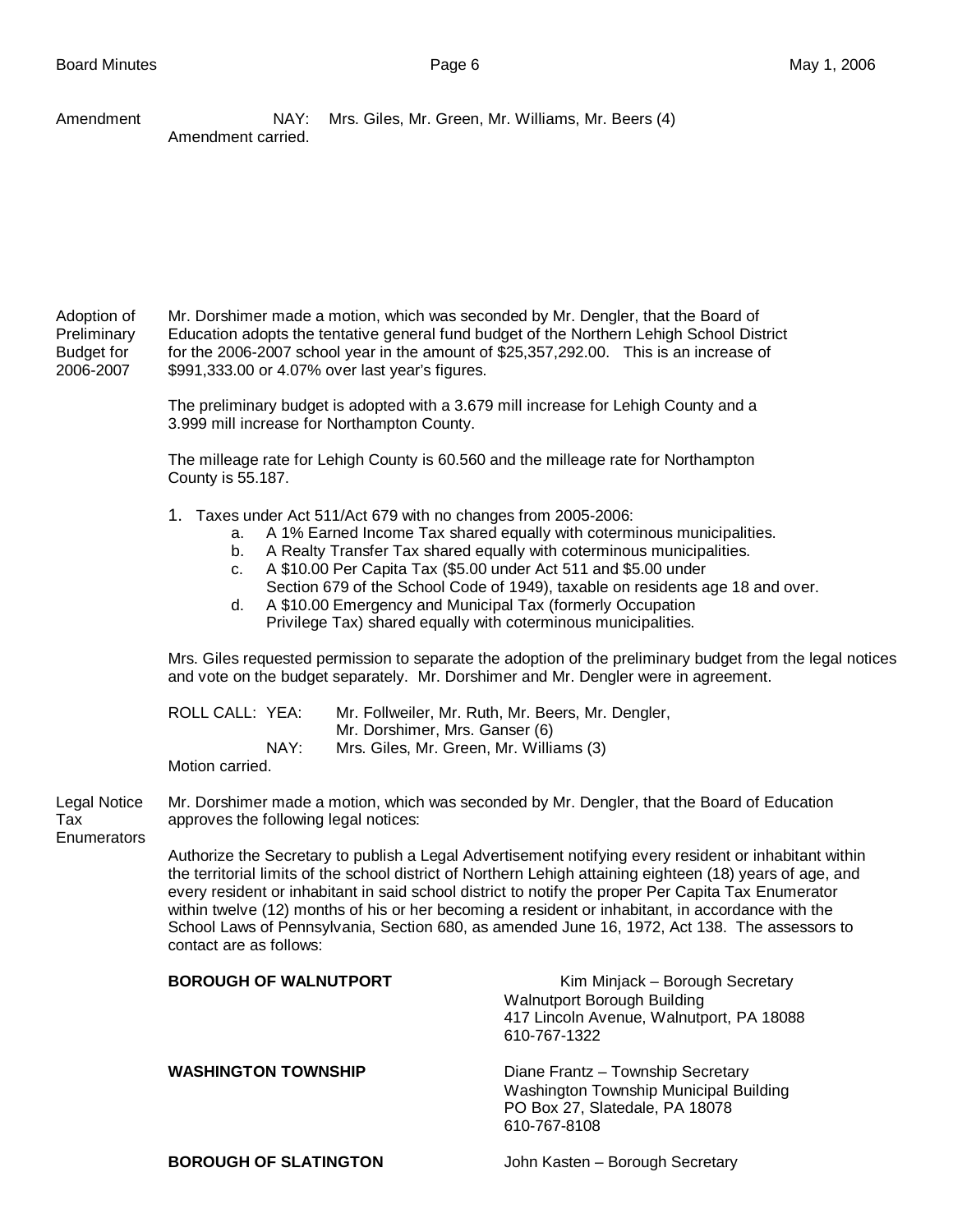Amendment **NAY: Mrs. Giles, Mr. Green, Mr. Williams, Mr. Beers (4)** Amendment carried.

Adoption of Mr. Dorshimer made a motion, which was seconded by Mr. Dengler, that the Board of Preliminary Education adopts the tentative general fund budget of the Northern Lehigh School District Budget for for the 2006-2007 school year in the amount of \$25,357,292.00. This is an increase of 2006-2007 \$991,333.00 or 4.07% over last year's figures.

> The preliminary budget is adopted with a 3.679 mill increase for Lehigh County and a 3.999 mill increase for Northampton County.

> The milleage rate for Lehigh County is 60.560 and the milleage rate for Northampton County is 55.187.

- 1. Taxes under Act 511/Act 679 with no changes from 2005-2006:
	- a. A 1% Earned Income Tax shared equally with coterminous municipalities.
	- b. A Realty Transfer Tax shared equally with coterminous municipalities.
	- c. A \$10.00 Per Capita Tax (\$5.00 under Act 511 and \$5.00 under Section 679 of the School Code of 1949), taxable on residents age 18 and over.
	- d. A \$10.00 Emergency and Municipal Tax (formerly Occupation Privilege Tax) shared equally with coterminous municipalities.

Mrs. Giles requested permission to separate the adoption of the preliminary budget from the legal notices and vote on the budget separately. Mr. Dorshimer and Mr. Dengler were in agreement.

| ROLL CALL: YEA: |      | Mr. Follweiler, Mr. Ruth, Mr. Beers, Mr. Dengler, |
|-----------------|------|---------------------------------------------------|
|                 |      | Mr. Dorshimer, Mrs. Ganser (6)                    |
|                 | NAY: | Mrs. Giles, Mr. Green, Mr. Williams (3)           |
| Mation corriad  |      |                                                   |

Motion carried.

Legal Notice Mr. Dorshimer made a motion, which was seconded by Mr. Dengler, that the Board of Education Tax approves the following legal notices:

**Enumerators** 

Authorize the Secretary to publish a Legal Advertisement notifying every resident or inhabitant within the territorial limits of the school district of Northern Lehigh attaining eighteen (18) years of age, and every resident or inhabitant in said school district to notify the proper Per Capita Tax Enumerator within twelve (12) months of his or her becoming a resident or inhabitant, in accordance with the School Laws of Pennsylvania, Section 680, as amended June 16, 1972, Act 138. The assessors to contact are as follows:

| <b>BOROUGH OF WALNUTPORT</b> | Kim Minjack - Borough Secretary<br>Walnutport Borough Building<br>417 Lincoln Avenue, Walnutport, PA 18088<br>610-767-1322    |
|------------------------------|-------------------------------------------------------------------------------------------------------------------------------|
| <b>WASHINGTON TOWNSHIP</b>   | Diane Frantz - Township Secretary<br>Washington Township Municipal Building<br>PO Box 27, Slatedale, PA 18078<br>610-767-8108 |
| <b>BOROUGH OF SLATINGTON</b> | John Kasten – Borough Secretary                                                                                               |